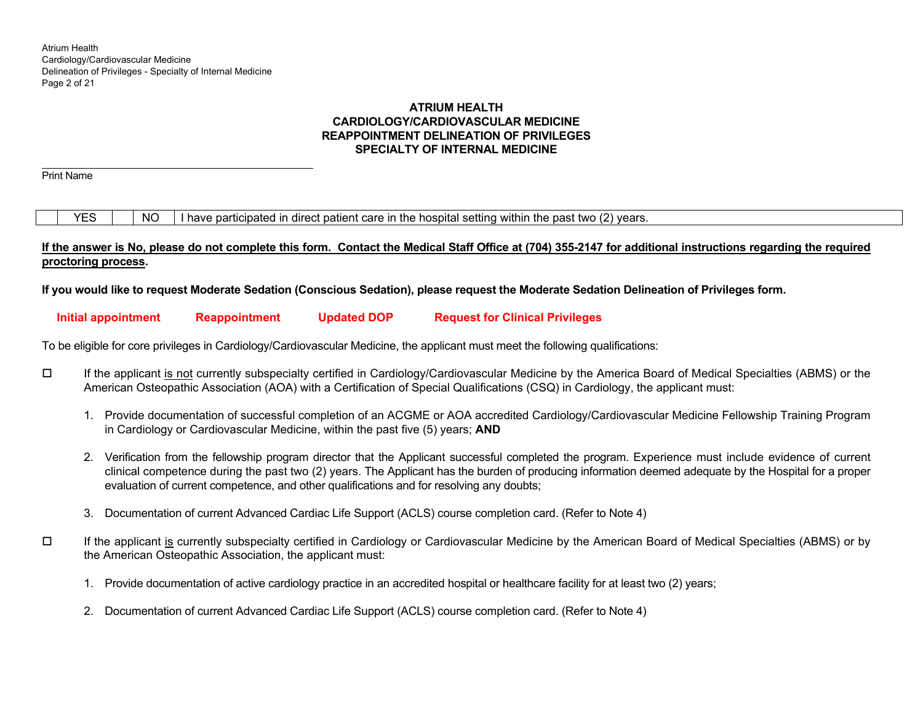# **ATRIUM HEALTH CARDIOLOGY/CARDIOVASCULAR MEDICINE REAPPOINTMENT DELINEATION OF PRIVILEGES SPECIALTY OF INTERNAL MEDICINE**

Print Name

 $YES$   $\parallel$  NO I have participated in direct patient care in the hospital setting within the past two (2) years.

# **If the answer is No, please do not complete this form. Contact the Medical Staff Office at (704) 355-2147 for additional instructions regarding the required proctoring process.**

**If you would like to request Moderate Sedation (Conscious Sedation), please request the Moderate Sedation Delineation of Privileges form.** 

# **Initial appointment Reappointment Updated DOP Request for Clinical Privileges**

To be eligible for core privileges in Cardiology/Cardiovascular Medicine, the applicant must meet the following qualifications:

- If the applicant is not currently subspecialty certified in Cardiology/Cardiovascular Medicine by the America Board of Medical Specialties (ABMS) or the American Osteopathic Association (AOA) with a Certification of Special Qualifications (CSQ) in Cardiology, the applicant must:
	- 1. Provide documentation of successful completion of an ACGME or AOA accredited Cardiology/Cardiovascular Medicine Fellowship Training Program in Cardiology or Cardiovascular Medicine, within the past five (5) years; **AND**
	- 2. Verification from the fellowship program director that the Applicant successful completed the program. Experience must include evidence of current clinical competence during the past two (2) years. The Applicant has the burden of producing information deemed adequate by the Hospital for a proper evaluation of current competence, and other qualifications and for resolving any doubts;
	- 3. Documentation of current Advanced Cardiac Life Support (ACLS) course completion card. (Refer to Note 4)
- $\Box$  If the applicant is currently subspecialty certified in Cardiology or Cardiovascular Medicine by the American Board of Medical Specialties (ABMS) or by the American Osteopathic Association, the applicant must:
	- 1. Provide documentation of active cardiology practice in an accredited hospital or healthcare facility for at least two (2) years;
	- 2. Documentation of current Advanced Cardiac Life Support (ACLS) course completion card. (Refer to Note 4)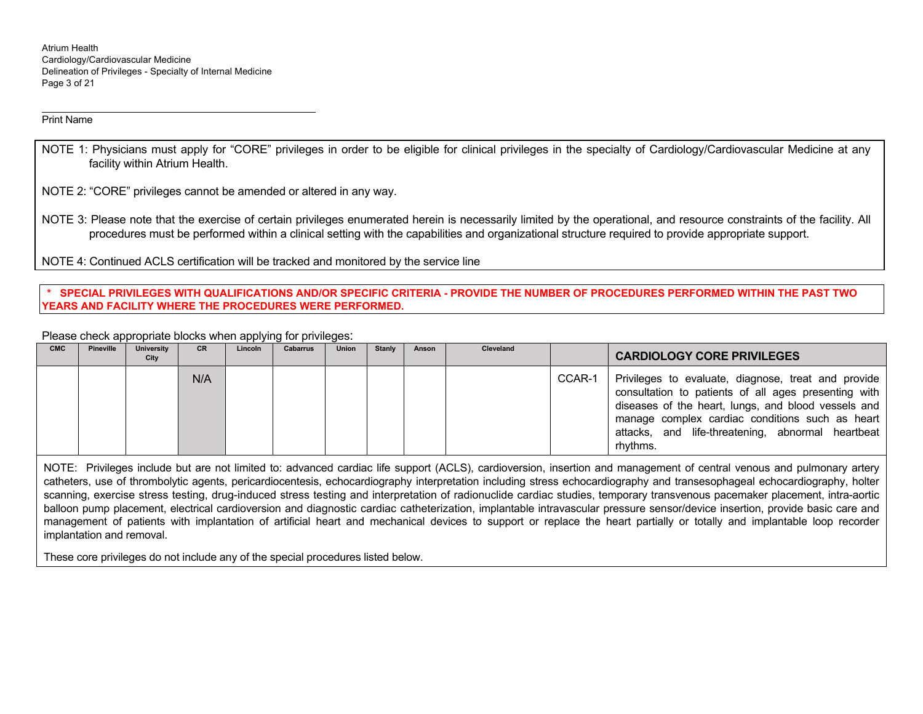Atrium Health Cardiology/Cardiovascular Medicine Delineation of Privileges - Specialty of Internal Medicine Page 3 of 21

Print Name

NOTE 1: Physicians must apply for "CORE" privileges in order to be eligible for clinical privileges in the specialty of Cardiology/Cardiovascular Medicine at any facility within Atrium Health.

NOTE 2: "CORE" privileges cannot be amended or altered in any way.

NOTE 3: Please note that the exercise of certain privileges enumerated herein is necessarily limited by the operational, and resource constraints of the facility. All procedures must be performed within a clinical setting with the capabilities and organizational structure required to provide appropriate support.

NOTE 4: Continued ACLS certification will be tracked and monitored by the service line

## **\* SPECIAL PRIVILEGES WITH QUALIFICATIONS AND/OR SPECIFIC CRITERIA - PROVIDE THE NUMBER OF PROCEDURES PERFORMED WITHIN THE PAST TWO YEARS AND FACILITY WHERE THE PROCEDURES WERE PERFORMED.**

Please check appropriate blocks when applying for privileges:

| <b>CMC</b> | Pineville | <b>University</b><br>City | <b>CR</b> | Lincoln | <b>Cabarrus</b> | <b>Union</b> | Stanly | Anson | Cleveland |        | <b>CARDIOLOGY CORE PRIVILEGES</b>                                                                                                                                                                                                                                                      |
|------------|-----------|---------------------------|-----------|---------|-----------------|--------------|--------|-------|-----------|--------|----------------------------------------------------------------------------------------------------------------------------------------------------------------------------------------------------------------------------------------------------------------------------------------|
|            |           |                           | N/A       |         |                 |              |        |       |           | CCAR-1 | Privileges to evaluate, diagnose, treat and provide<br>consultation to patients of all ages presenting with<br>diseases of the heart, lungs, and blood vessels and<br>manage complex cardiac conditions such as heart<br>attacks, and life-threatening, abnormal heartbeat<br>rhythms. |

NOTE: Privileges include but are not limited to: advanced cardiac life support (ACLS), cardioversion, insertion and management of central venous and pulmonary artery catheters, use of thrombolytic agents, pericardiocentesis, echocardiography interpretation including stress echocardiography and transesophageal echocardiography, holter scanning, exercise stress testing, drug-induced stress testing and interpretation of radionuclide cardiac studies, temporary transvenous pacemaker placement, intra-aortic balloon pump placement, electrical cardioversion and diagnostic cardiac catheterization, implantable intravascular pressure sensor/device insertion, provide basic care and management of patients with implantation of artificial heart and mechanical devices to support or replace the heart partially or totally and implantable loop recorder implantation and removal.

These core privileges do not include any of the special procedures listed below.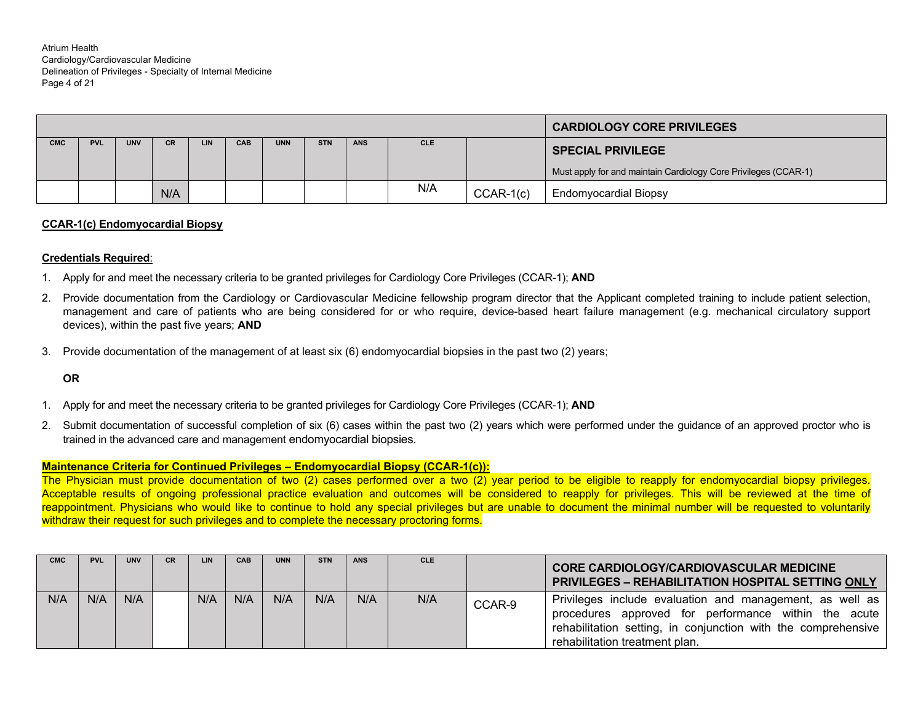Atrium Health Cardiology/Cardiovascular Medicine Delineation of Privileges - Specialty of Internal Medicine Page 4 of 21

|            |            |            |           |     |     |            |            |            |            |             | <b>CARDIOLOGY CORE PRIVILEGES</b>                               |
|------------|------------|------------|-----------|-----|-----|------------|------------|------------|------------|-------------|-----------------------------------------------------------------|
| <b>CMC</b> | <b>PVL</b> | <b>UNV</b> | <b>CR</b> | LIN | CAB | <b>UNN</b> | <b>STN</b> | <b>ANS</b> | <b>CLE</b> |             | <b>SPECIAL PRIVILEGE</b>                                        |
|            |            |            |           |     |     |            |            |            |            |             | Must apply for and maintain Cardiology Core Privileges (CCAR-1) |
|            |            |            | N/A       |     |     |            |            |            | N/A        | $CCAR-1(c)$ | <b>Endomyocardial Biopsy</b>                                    |

#### **CCAR-1(c) Endomyocardial Biopsy**

#### **Credentials Required**:

- 1. Apply for and meet the necessary criteria to be granted privileges for Cardiology Core Privileges (CCAR-1); **AND**
- 2. Provide documentation from the Cardiology or Cardiovascular Medicine fellowship program director that the Applicant completed training to include patient selection, management and care of patients who are being considered for or who require, device-based heart failure management (e.g. mechanical circulatory support devices), within the past five years; **AND**
- 3. Provide documentation of the management of at least six (6) endomyocardial biopsies in the past two (2) years;

## **OR**

- 1. Apply for and meet the necessary criteria to be granted privileges for Cardiology Core Privileges (CCAR-1); **AND**
- 2. Submit documentation of successful completion of six (6) cases within the past two (2) years which were performed under the guidance of an approved proctor who is trained in the advanced care and management endomyocardial biopsies.

## **Maintenance Criteria for Continued Privileges – Endomyocardial Biopsy (CCAR-1(c)):**

The Physician must provide documentation of two (2) cases performed over a two (2) year period to be eligible to reapply for endomyocardial biopsy privileges. Acceptable results of ongoing professional practice evaluation and outcomes will be considered to reapply for privileges. This will be reviewed at the time of reappointment. Physicians who would like to continue to hold any special privileges but are unable to document the minimal number will be requested to voluntarily withdraw their request for such privileges and to complete the necessary proctoring forms.

| <b>CMC</b> | <b>PVL</b> | <b>UNV</b> | <b>CR</b> | LIN | CAB | <b>UNN</b> | <b>STN</b> | <b>ANS</b> | <b>CLE</b> |        | <b>CORE CARDIOLOGY/CARDIOVASCULAR MEDICINE</b><br><b>PRIVILEGES - REHABILITATION HOSPITAL SETTING ONLY</b>                                                                                                          |
|------------|------------|------------|-----------|-----|-----|------------|------------|------------|------------|--------|---------------------------------------------------------------------------------------------------------------------------------------------------------------------------------------------------------------------|
| N/A        | N/A        | N/A        |           | N/A | N/A | N/A        | N/A        | N/A        | N/A        | CCAR-9 | Privileges include evaluation and management, as well as<br>procedures approved for performance within the acute<br>rehabilitation setting, in conjunction with the comprehensive<br>rehabilitation treatment plan. |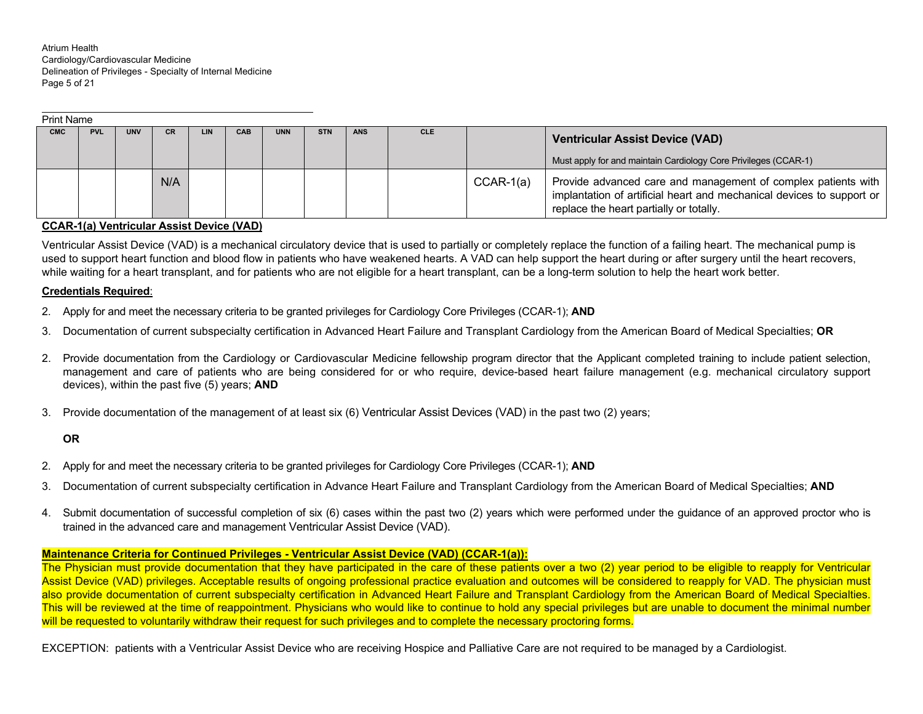Atrium Health Cardiology/Cardiovascular Medicine Delineation of Privileges - Specialty of Internal Medicine Page 5 of 21

|            | <b>Print Name</b> |            |     |            |            |            |            |            |            |             |                                                                                                                                                                                   |  |
|------------|-------------------|------------|-----|------------|------------|------------|------------|------------|------------|-------------|-----------------------------------------------------------------------------------------------------------------------------------------------------------------------------------|--|
| <b>CMC</b> | <b>PVL</b>        | <b>UNV</b> | CR. | <b>LIN</b> | <b>CAB</b> | <b>UNN</b> | <b>STN</b> | <b>ANS</b> | <b>CLE</b> |             | <b>Ventricular Assist Device (VAD)</b>                                                                                                                                            |  |
|            |                   |            |     |            |            |            |            |            |            |             | Must apply for and maintain Cardiology Core Privileges (CCAR-1)                                                                                                                   |  |
|            |                   |            | N/A |            |            |            |            |            |            | $CCAR-1(a)$ | Provide advanced care and management of complex patients with<br>implantation of artificial heart and mechanical devices to support or<br>replace the heart partially or totally. |  |

#### **CCAR-1(a) Ventricular Assist Device (VAD)**

Ventricular Assist Device (VAD) is a mechanical circulatory device that is used to partially or completely replace the function of a failing heart. The mechanical pump is used to support heart function and blood flow in patients who have weakened hearts. A VAD can help support the heart during or after surgery until the heart recovers, while waiting for a heart transplant, and for patients who are not eligible for a heart transplant, can be a long-term solution to help the heart work better.

#### **Credentials Required**:

- 2. Apply for and meet the necessary criteria to be granted privileges for Cardiology Core Privileges (CCAR-1); **AND**
- 3. Documentation of current subspecialty certification in Advanced Heart Failure and Transplant Cardiology from the American Board of Medical Specialties; **OR**
- 2. Provide documentation from the Cardiology or Cardiovascular Medicine fellowship program director that the Applicant completed training to include patient selection, management and care of patients who are being considered for or who require, device-based heart failure management (e.g. mechanical circulatory support devices), within the past five (5) years; **AND**
- 3. Provide documentation of the management of at least six (6) Ventricular Assist Devices (VAD) in the past two (2) years;

## **OR**

- 2. Apply for and meet the necessary criteria to be granted privileges for Cardiology Core Privileges (CCAR-1); **AND**
- 3. Documentation of current subspecialty certification in Advance Heart Failure and Transplant Cardiology from the American Board of Medical Specialties; **AND**
- 4. Submit documentation of successful completion of six (6) cases within the past two (2) years which were performed under the guidance of an approved proctor who is trained in the advanced care and management Ventricular Assist Device (VAD).

## **Maintenance Criteria for Continued Privileges - Ventricular Assist Device (VAD) (CCAR-1(a)):**

The Physician must provide documentation that they have participated in the care of these patients over a two (2) year period to be eligible to reapply for Ventricular Assist Device (VAD) privileges. Acceptable results of ongoing professional practice evaluation and outcomes will be considered to reapply for VAD. The physician must also provide documentation of current subspecialty certification in Advanced Heart Failure and Transplant Cardiology from the American Board of Medical Specialties. This will be reviewed at the time of reappointment. Physicians who would like to continue to hold any special privileges but are unable to document the minimal number will be requested to voluntarily withdraw their request for such privileges and to complete the necessary proctoring forms.

EXCEPTION: patients with a Ventricular Assist Device who are receiving Hospice and Palliative Care are not required to be managed by a Cardiologist.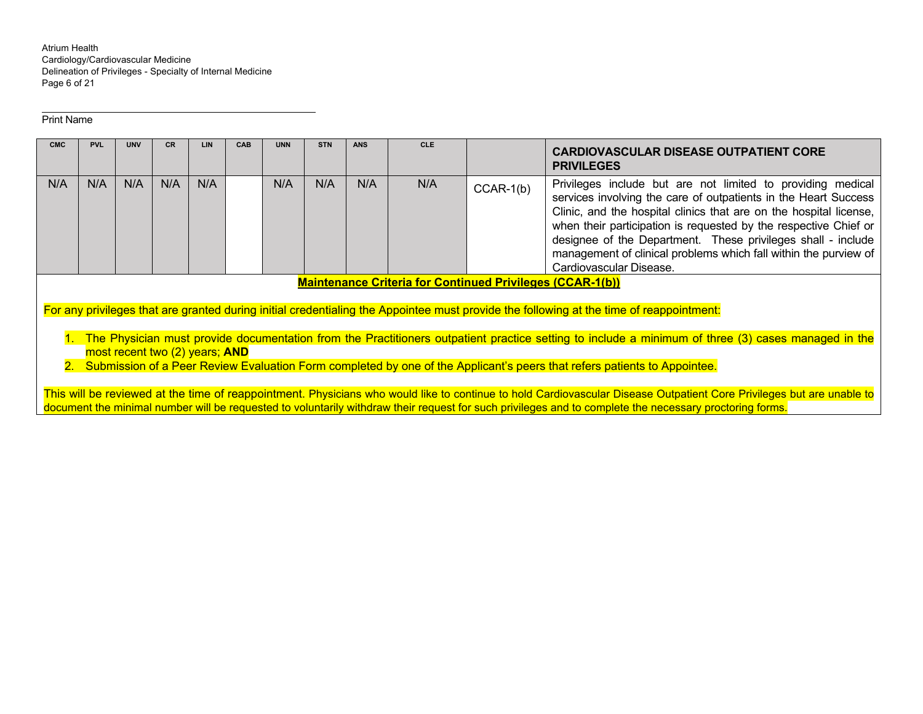Atrium Health Cardiology/Cardiovascular Medicine Delineation of Privileges - Specialty of Internal Medicine Page 6 of 21

Print Name

| <b>CMC</b> | <b>PVL</b>                                                                                                                                                                                                                                                                                                             | <b>UNV</b> | CR. | LIN | CAB | <b>UNN</b> | <b>STN</b> | <b>ANS</b> | <b>CLE</b> |             | <b>CARDIOVASCULAR DISEASE OUTPATIENT CORE</b><br><b>PRIVILEGES</b>                                                                                                                                                                                                                                                                                                                                                                      |
|------------|------------------------------------------------------------------------------------------------------------------------------------------------------------------------------------------------------------------------------------------------------------------------------------------------------------------------|------------|-----|-----|-----|------------|------------|------------|------------|-------------|-----------------------------------------------------------------------------------------------------------------------------------------------------------------------------------------------------------------------------------------------------------------------------------------------------------------------------------------------------------------------------------------------------------------------------------------|
| N/A        | N/A                                                                                                                                                                                                                                                                                                                    | N/A        | N/A | N/A |     | N/A        | N/A        | N/A        | N/A        | $CCAR-1(b)$ | Privileges include but are not limited to providing medical<br>services involving the care of outpatients in the Heart Success<br>Clinic, and the hospital clinics that are on the hospital license,<br>when their participation is requested by the respective Chief or<br>designee of the Department. These privileges shall - include<br>management of clinical problems which fall within the purview of<br>Cardiovascular Disease. |
|            |                                                                                                                                                                                                                                                                                                                        |            |     |     |     |            |            |            |            |             | <b>Maintenance Criteria for Continued Privileges (CCAR-1(b))</b>                                                                                                                                                                                                                                                                                                                                                                        |
|            |                                                                                                                                                                                                                                                                                                                        |            |     |     |     |            |            |            |            |             | For any privileges that are granted during initial credentialing the Appointee must provide the following at the time of reappointment:                                                                                                                                                                                                                                                                                                 |
|            | 1. The Physician must provide documentation from the Practitioners outpatient practice setting to include a minimum of three (3) cases managed in the<br>most recent two (2) years; AND<br>2. Submission of a Peer Review Evaluation Form completed by one of the Applicant's peers that refers patients to Appointee. |            |     |     |     |            |            |            |            |             |                                                                                                                                                                                                                                                                                                                                                                                                                                         |
|            |                                                                                                                                                                                                                                                                                                                        |            |     |     |     |            |            |            |            |             | This will be reviewed at the time of reappointment. Physicians who would like to continue to hold Cardiovascular Disease Outpatient Core Privileges but are unable to                                                                                                                                                                                                                                                                   |

This will be reviewed at the time of reappointment. Physicians who would like to continue to hold Cardiovascular Disease Outpatient Core Privileges but are unable to document the minimal number will be requested to voluntarily withdraw their request for such privileges and to complete the necessary proctoring forms.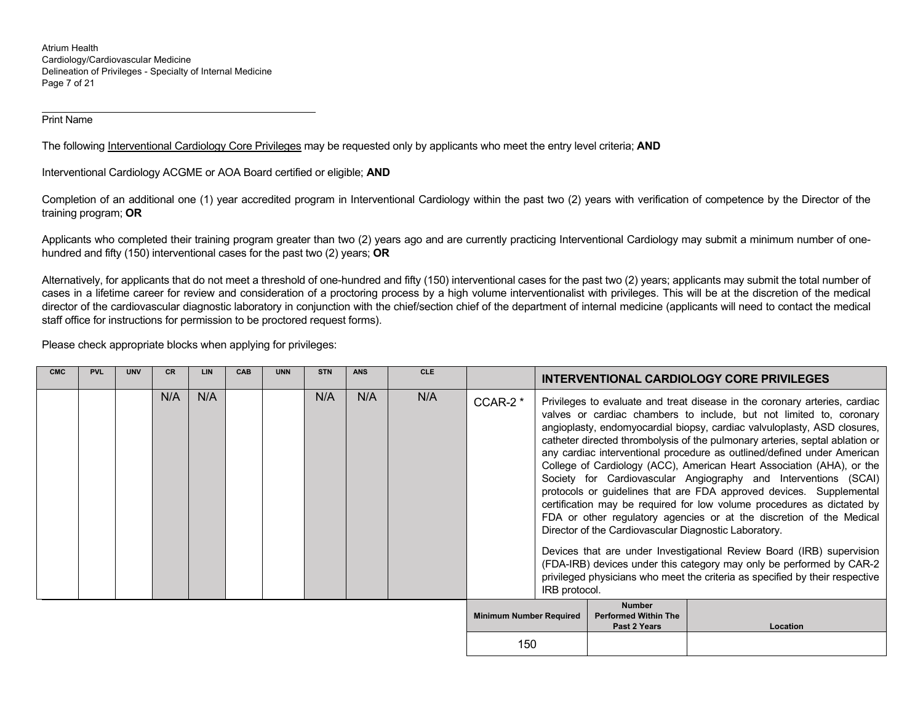Atrium Health Cardiology/Cardiovascular Medicine Delineation of Privileges - Specialty of Internal Medicine Page 7 of 21

Print Name

The following Interventional Cardiology Core Privileges may be requested only by applicants who meet the entry level criteria; **AND**

Interventional Cardiology ACGME or AOA Board certified or eligible; **AND**

Completion of an additional one (1) year accredited program in Interventional Cardiology within the past two (2) years with verification of competence by the Director of the training program; **OR**

Applicants who completed their training program greater than two (2) years ago and are currently practicing Interventional Cardiology may submit a minimum number of onehundred and fifty (150) interventional cases for the past two (2) years; **OR** 

Alternatively, for applicants that do not meet a threshold of one-hundred and fifty (150) interventional cases for the past two (2) years; applicants may submit the total number of cases in a lifetime career for review and consideration of a proctoring process by a high volume interventionalist with privileges. This will be at the discretion of the medical director of the cardiovascular diagnostic laboratory in conjunction with the chief/section chief of the department of internal medicine (applicants will need to contact the medical staff office for instructions for permission to be proctored request forms).

Please check appropriate blocks when applying for privileges:

| <b>CMC</b> | <b>PVL</b> | <b>UNV</b> |     | <b>LIN</b> | CAB | <b>UNN</b> | <b>STN</b> | <b>ANS</b> | <b>CLE</b> |                                |               |                                                              | INTERVENTIONAL CARDIOLOGY CORE PRIVILEGES                                                                                                                                                                                                                                                                                                                                                                                                                                                                                                                                                                                                                                                                                                                                                                                                                                                                                                                                                      |
|------------|------------|------------|-----|------------|-----|------------|------------|------------|------------|--------------------------------|---------------|--------------------------------------------------------------|------------------------------------------------------------------------------------------------------------------------------------------------------------------------------------------------------------------------------------------------------------------------------------------------------------------------------------------------------------------------------------------------------------------------------------------------------------------------------------------------------------------------------------------------------------------------------------------------------------------------------------------------------------------------------------------------------------------------------------------------------------------------------------------------------------------------------------------------------------------------------------------------------------------------------------------------------------------------------------------------|
|            |            |            | N/A | N/A        |     |            | N/A        | N/A        | N/A        | $CCAR-2*$                      | IRB protocol. | Director of the Cardiovascular Diagnostic Laboratory.        | Privileges to evaluate and treat disease in the coronary arteries, cardiac<br>valves or cardiac chambers to include, but not limited to, coronary<br>angioplasty, endomyocardial biopsy, cardiac valvuloplasty, ASD closures,<br>catheter directed thrombolysis of the pulmonary arteries, septal ablation or<br>any cardiac interventional procedure as outlined/defined under American<br>College of Cardiology (ACC), American Heart Association (AHA), or the<br>Society for Cardiovascular Angiography and Interventions (SCAI)<br>protocols or guidelines that are FDA approved devices. Supplemental<br>certification may be required for low volume procedures as dictated by<br>FDA or other regulatory agencies or at the discretion of the Medical<br>Devices that are under Investigational Review Board (IRB) supervision<br>(FDA-IRB) devices under this category may only be performed by CAR-2<br>privileged physicians who meet the criteria as specified by their respective |
|            |            |            |     |            |     |            |            |            |            | <b>Minimum Number Required</b> |               | <b>Number</b><br><b>Performed Within The</b><br>Past 2 Years | Location                                                                                                                                                                                                                                                                                                                                                                                                                                                                                                                                                                                                                                                                                                                                                                                                                                                                                                                                                                                       |
|            |            |            |     |            |     |            |            |            |            | 150                            |               |                                                              |                                                                                                                                                                                                                                                                                                                                                                                                                                                                                                                                                                                                                                                                                                                                                                                                                                                                                                                                                                                                |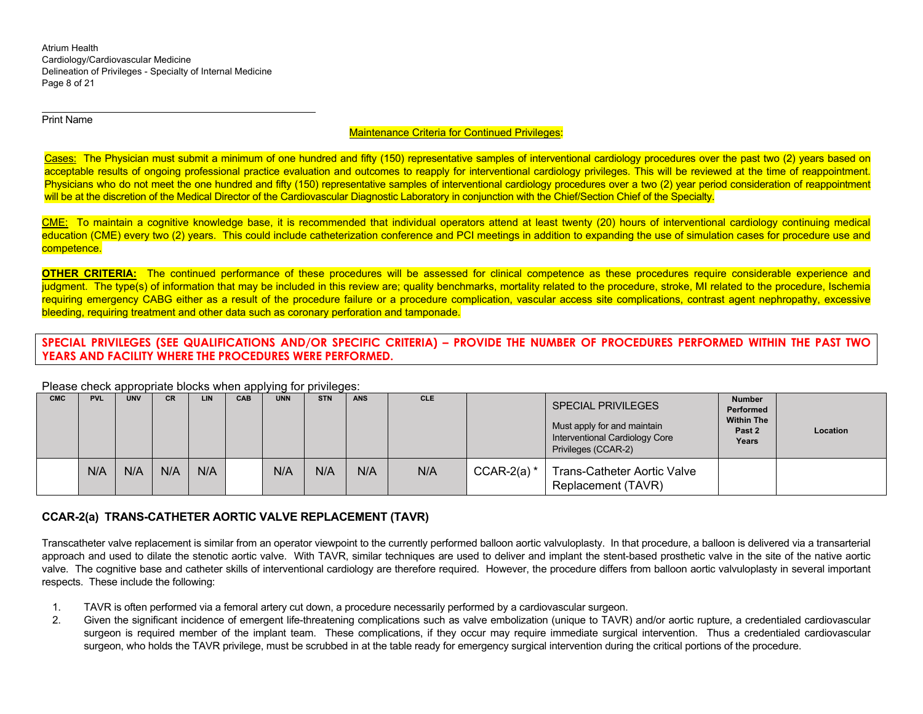Atrium Health Cardiology/Cardiovascular Medicine Delineation of Privileges - Specialty of Internal Medicine Page 8 of 21

Print Name

## Maintenance Criteria for Continued Privileges:

Cases: The Physician must submit a minimum of one hundred and fifty (150) representative samples of interventional cardiology procedures over the past two (2) years based on acceptable results of ongoing professional practice evaluation and outcomes to reapply for interventional cardiology privileges. This will be reviewed at the time of reappointment. Physicians who do not meet the one hundred and fifty (150) representative samples of interventional cardiology procedures over a two (2) year period consideration of reappointment will be at the discretion of the Medical Director of the Cardiovascular Diagnostic Laboratory in conjunction with the Chief/Section Chief of the Specialty.

CME: To maintain a cognitive knowledge base, it is recommended that individual operators attend at least twenty (20) hours of interventional cardiology continuing medical education (CME) every two (2) years. This could include catheterization conference and PCI meetings in addition to expanding the use of simulation cases for procedure use and competence.

**OTHER CRITERIA:** The continued performance of these procedures will be assessed for clinical competence as these procedures require considerable experience and judgment. The type(s) of information that may be included in this review are; quality benchmarks, mortality related to the procedure, stroke, MI related to the procedure, Ischemia requiring emergency CABG either as a result of the procedure failure or a procedure complication, vascular access site complications, contrast agent nephropathy, excessive bleeding, requiring treatment and other data such as coronary perforation and tamponade.

**SPECIAL PRIVILEGES (SEE QUALIFICATIONS AND/OR SPECIFIC CRITERIA) – PROVIDE THE NUMBER OF PROCEDURES PERFORMED WITHIN THE PAST TWO YEARS AND FACILITY WHERE THE PROCEDURES WERE PERFORMED.** 

#### Please check appropriate blocks when applying for privileges:

| <b>CMC</b> | <b>PVL</b> | <b>UNV</b> | <b>CR</b> | LIN | CAB | <b>UNN</b> | <b>STN</b> | <b>ANS</b> | <b>CLE</b> |               | <b>SPECIAL PRIVILEGES</b><br>Must apply for and maintain<br>Interventional Cardiology Core<br>Privileges (CCAR-2) | <b>Number</b><br>Performed<br><b>Within The</b><br>Past 2<br>Years | Location |
|------------|------------|------------|-----------|-----|-----|------------|------------|------------|------------|---------------|-------------------------------------------------------------------------------------------------------------------|--------------------------------------------------------------------|----------|
|            | N/A        | N/A        | N/A       | N/A |     | N/A        | N/A        | N/A        | N/A        | CCAR-2(a) $*$ | Trans-Catheter Aortic Valve<br>Replacement (TAVR)                                                                 |                                                                    |          |

## **CCAR-2(a) TRANS-CATHETER AORTIC VALVE REPLACEMENT (TAVR)**

Transcatheter valve replacement is similar from an operator viewpoint to the currently performed balloon aortic valvuloplasty. In that procedure, a balloon is delivered via a transarterial approach and used to dilate the stenotic aortic valve. With TAVR, similar techniques are used to deliver and implant the stent-based prosthetic valve in the site of the native aortic valve. The cognitive base and catheter skills of interventional cardiology are therefore required. However, the procedure differs from balloon aortic valvuloplasty in several important respects. These include the following:

- 1. TAVR is often performed via a femoral artery cut down, a procedure necessarily performed by a cardiovascular surgeon.
- 2. Given the significant incidence of emergent life-threatening complications such as valve embolization (unique to TAVR) and/or aortic rupture, a credentialed cardiovascular surgeon is required member of the implant team. These complications, if they occur may require immediate surgical intervention. Thus a credentialed cardiovascular surgeon, who holds the TAVR privilege, must be scrubbed in at the table ready for emergency surgical intervention during the critical portions of the procedure.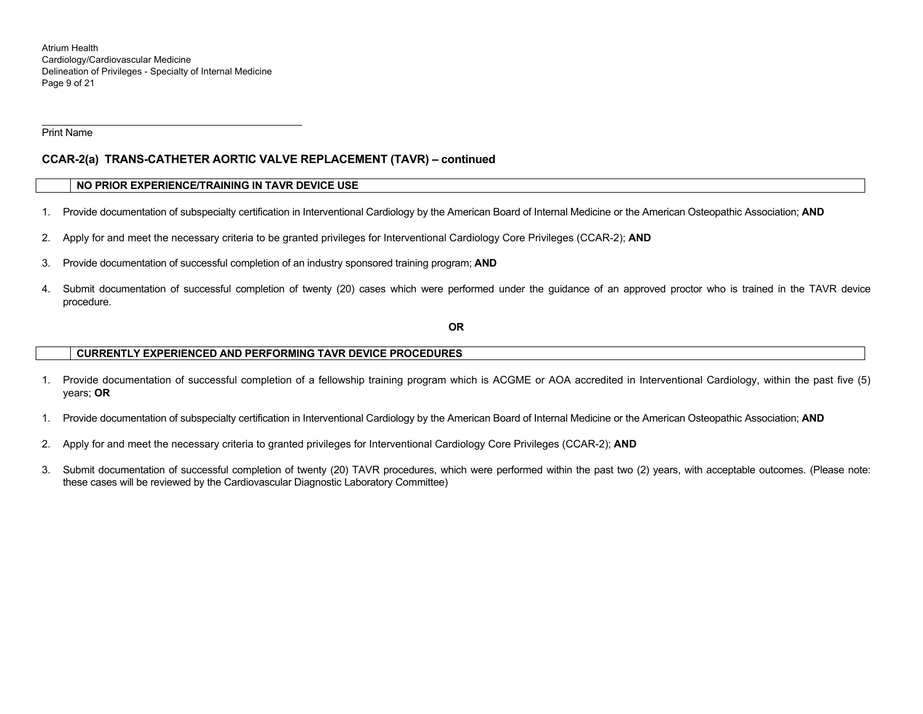Atrium Health Cardiology/Cardiovascular Medicine Delineation of Privileges - Specialty of Internal Medicine Page 9 of 21

Print Name

# **CCAR-2(a) TRANS-CATHETER AORTIC VALVE REPLACEMENT (TAVR) – continued**

## **NO PRIOR EXPERIENCE/TRAINING IN TAVR DEVICE USE**

- 1. Provide documentation of subspecialty certification in Interventional Cardiology by the American Board of Internal Medicine or the American Osteopathic Association; **AND**
- 2. Apply for and meet the necessary criteria to be granted privileges for Interventional Cardiology Core Privileges (CCAR-2); **AND**
- 3. Provide documentation of successful completion of an industry sponsored training program; **AND**
- 4. Submit documentation of successful completion of twenty (20) cases which were performed under the guidance of an approved proctor who is trained in the TAVR device procedure.

**OR** 

## **CURRENTLY EXPERIENCED AND PERFORMING TAVR DEVICE PROCEDURES**

- 1. Provide documentation of successful completion of a fellowship training program which is ACGME or AOA accredited in Interventional Cardiology, within the past five (5) years; **OR**
- 1. Provide documentation of subspecialty certification in Interventional Cardiology by the American Board of Internal Medicine or the American Osteopathic Association; **AND**
- 2. Apply for and meet the necessary criteria to granted privileges for Interventional Cardiology Core Privileges (CCAR-2); **AND**
- 3. Submit documentation of successful completion of twenty (20) TAVR procedures, which were performed within the past two (2) years, with acceptable outcomes. (Please note: these cases will be reviewed by the Cardiovascular Diagnostic Laboratory Committee)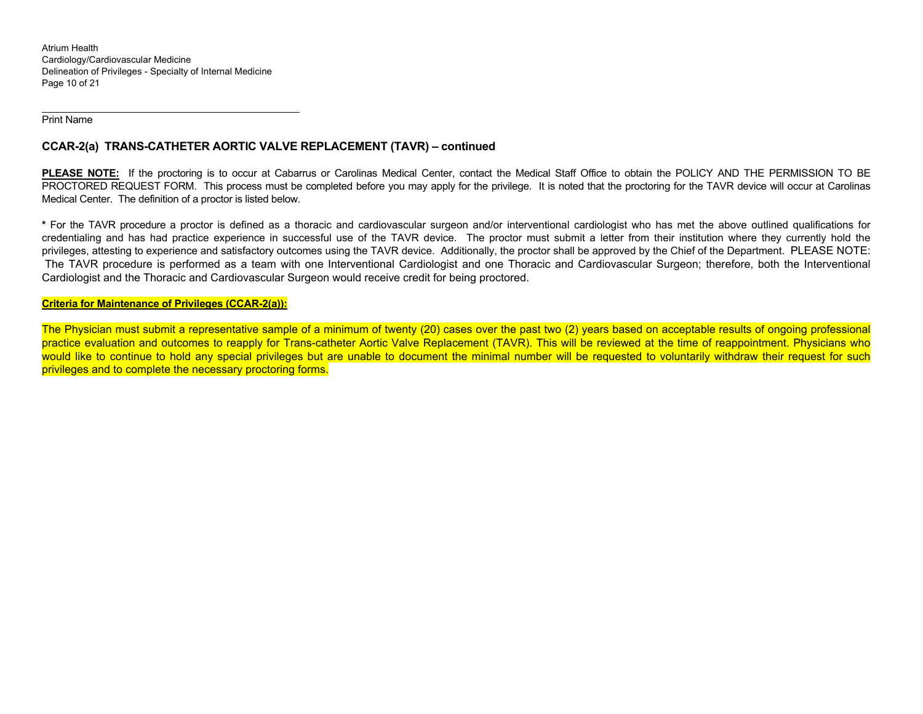Atrium Health Cardiology/Cardiovascular Medicine Delineation of Privileges - Specialty of Internal Medicine Page 10 of 21

Print Name

# **CCAR-2(a) TRANS-CATHETER AORTIC VALVE REPLACEMENT (TAVR) – continued**

**PLEASE NOTE:** If the proctoring is to occur at Cabarrus or Carolinas Medical Center, contact the Medical Staff Office to obtain the POLICY AND THE PERMISSION TO BE PROCTORED REQUEST FORM. This process must be completed before you may apply for the privilege. It is noted that the proctoring for the TAVR device will occur at Carolinas Medical Center. The definition of a proctor is listed below.

**\*** For the TAVR procedure a proctor is defined as a thoracic and cardiovascular surgeon and/or interventional cardiologist who has met the above outlined qualifications for credentialing and has had practice experience in successful use of the TAVR device. The proctor must submit a letter from their institution where they currently hold the privileges, attesting to experience and satisfactory outcomes using the TAVR device. Additionally, the proctor shall be approved by the Chief of the Department. PLEASE NOTE: The TAVR procedure is performed as a team with one Interventional Cardiologist and one Thoracic and Cardiovascular Surgeon; therefore, both the Interventional Cardiologist and the Thoracic and Cardiovascular Surgeon would receive credit for being proctored.

## **Criteria for Maintenance of Privileges (CCAR-2(a)):**

The Physician must submit a representative sample of a minimum of twenty (20) cases over the past two (2) years based on acceptable results of ongoing professional practice evaluation and outcomes to reapply for Trans-catheter Aortic Valve Replacement (TAVR). This will be reviewed at the time of reappointment. Physicians who would like to continue to hold any special privileges but are unable to document the minimal number will be requested to voluntarily withdraw their request for such privileges and to complete the necessary proctoring forms.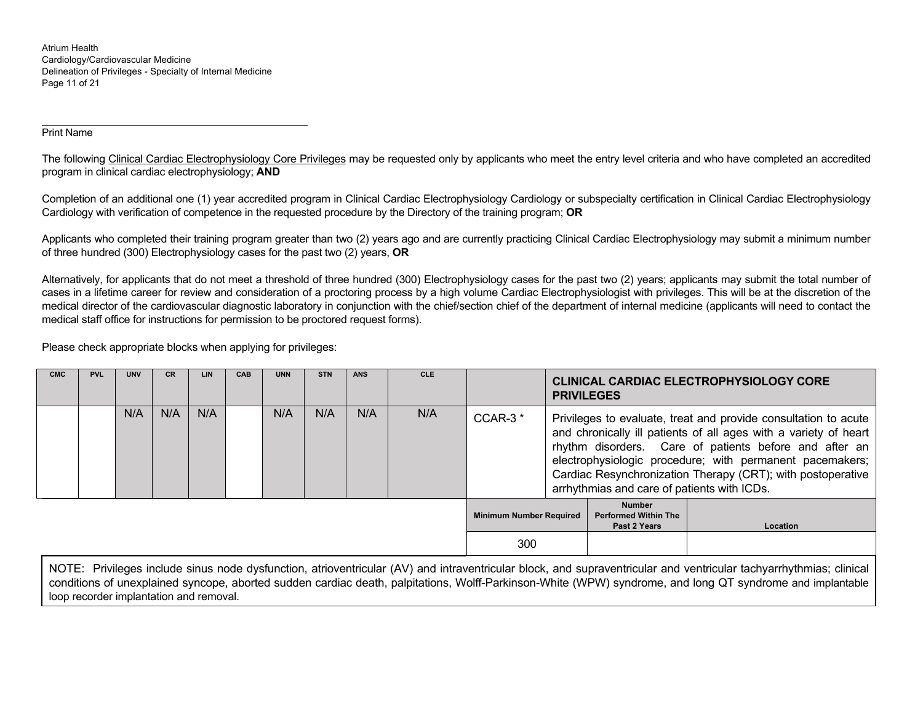Atrium Health Cardiology/Cardiovascular Medicine Delineation of Privileges - Specialty of Internal Medicine Page 11 of 21

## Print Name

The following Clinical Cardiac Electrophysiology Core Privileges may be requested only by applicants who meet the entry level criteria and who have completed an accredited program in clinical cardiac electrophysiology; **AND** 

Completion of an additional one (1) year accredited program in Clinical Cardiac Electrophysiology Cardiology or subspecialty certification in Clinical Cardiac Electrophysiology Cardiology with verification of competence in the requested procedure by the Directory of the training program; **OR**

Applicants who completed their training program greater than two (2) years ago and are currently practicing Clinical Cardiac Electrophysiology may submit a minimum number of three hundred (300) Electrophysiology cases for the past two (2) years, **OR** 

Alternatively, for applicants that do not meet a threshold of three hundred (300) Electrophysiology cases for the past two (2) years; applicants may submit the total number of cases in a lifetime career for review and consideration of a proctoring process by a high volume Cardiac Electrophysiologist with privileges. This will be at the discretion of the medical director of the cardiovascular diagnostic laboratory in conjunction with the chief/section chief of the department of internal medicine (applicants will need to contact the medical staff office for instructions for permission to be proctored request forms).

Please check appropriate blocks when applying for privileges:

| <b>CMC</b> | <b>PVL</b> | <b>UNV</b> | <b>CR</b> | LIN | <b>CAB</b> | <b>UNN</b> | <b>STN</b> | <b>ANS</b> | <b>CLE</b> |                                |                                                                                                                                                                                                                                                                                                                                                                         | <b>PRIVILEGES</b>                                            | <b>CLINICAL CARDIAC ELECTROPHYSIOLOGY CORE</b> |
|------------|------------|------------|-----------|-----|------------|------------|------------|------------|------------|--------------------------------|-------------------------------------------------------------------------------------------------------------------------------------------------------------------------------------------------------------------------------------------------------------------------------------------------------------------------------------------------------------------------|--------------------------------------------------------------|------------------------------------------------|
|            |            | N/A        | N/A       | N/A |            | N/A        | N/A        | N/A        | N/A        | CCAR-3 <sup>*</sup>            | Privileges to evaluate, treat and provide consultation to acute<br>and chronically ill patients of all ages with a variety of heart<br>rhythm disorders. Care of patients before and after an<br>electrophysiologic procedure; with permanent pacemakers;<br>Cardiac Resynchronization Therapy (CRT); with postoperative<br>arrhythmias and care of patients with ICDs. |                                                              |                                                |
|            |            |            |           |     |            |            |            |            |            | <b>Minimum Number Required</b> |                                                                                                                                                                                                                                                                                                                                                                         | <b>Number</b><br><b>Performed Within The</b><br>Past 2 Years | Location                                       |
|            |            |            |           |     |            |            |            |            |            | 300                            |                                                                                                                                                                                                                                                                                                                                                                         |                                                              |                                                |

NOTE: Privileges include sinus node dysfunction, atrioventricular (AV) and intraventricular block, and supraventricular and ventricular tachyarrhythmias; clinical conditions of unexplained syncope, aborted sudden cardiac death, palpitations, Wolff-Parkinson-White (WPW) syndrome, and long QT syndrome and implantable loop recorder implantation and removal.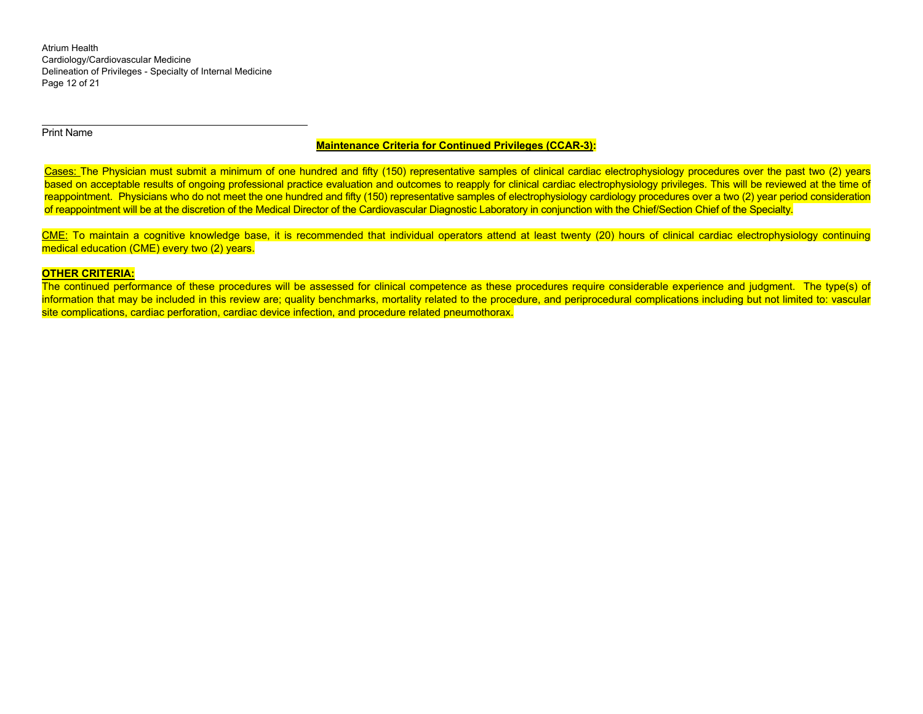Atrium Health Cardiology/Cardiovascular Medicine Delineation of Privileges - Specialty of Internal Medicine Page 12 of 21

Print Name

## **Maintenance Criteria for Continued Privileges (CCAR-3):**

Cases: The Physician must submit a minimum of one hundred and fifty (150) representative samples of clinical cardiac electrophysiology procedures over the past two (2) years based on acceptable results of ongoing professional practice evaluation and outcomes to reapply for clinical cardiac electrophysiology privileges. This will be reviewed at the time of reappointment. Physicians who do not meet the one hundred and fifty (150) representative samples of electrophysiology cardiology procedures over a two (2) year period consideration of reappointment will be at the discretion of the Medical Director of the Cardiovascular Diagnostic Laboratory in conjunction with the Chief/Section Chief of the Specialty.

CME: To maintain a cognitive knowledge base, it is recommended that individual operators attend at least twenty (20) hours of clinical cardiac electrophysiology continuing medical education (CME) every two (2) years.

#### **OTHER CRITERIA:**

The continued performance of these procedures will be assessed for clinical competence as these procedures require considerable experience and judgment. The type(s) of information that may be included in this review are; quality benchmarks, mortality related to the procedure, and periprocedural complications including but not limited to: vascular site complications, cardiac perforation, cardiac device infection, and procedure related pneumothorax.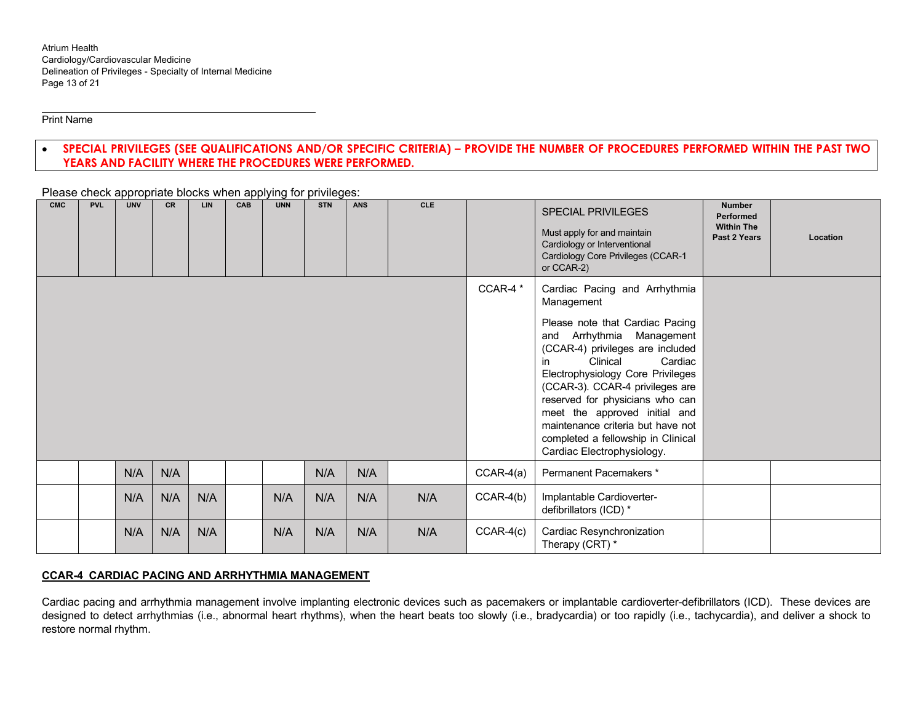Print Name

#### $\bullet$  **SPECIAL PRIVILEGES (SEE QUALIFICATIONS AND/OR SPECIFIC CRITERIA) – PROVIDE THE NUMBER OF PROCEDURES PERFORMED WITHIN THE PAST TWO YEARS AND FACILITY WHERE THE PROCEDURES WERE PERFORMED.**

**CMC PVL UNV CR LIN CAB UNN STN ANS CLE** SPECIAL PRIVILEGES Must apply for and maintain Cardiology or Interventional Cardiology Core Privileges (CCAR-1 or CCAR-2) **Number Performed Within The Past 2 Years Location** CCAR-4<sup>\*</sup> | Cardiac Pacing and Arrhythmia Management Please note that Cardiac Pacing and Arrhythmia Management (CCAR-4) privileges are included in Clinical Cardiac Electrophysiology Core Privileges (CCAR-3). CCAR-4 privileges are reserved for physicians who can meet the approved initial and maintenance criteria but have not completed a fellowship in Clinical Cardiac Electrophysiology. N/A N/A N/A N/A CCAR-4(a) Permanent Pacemakers \* N/AN/A | N/A | N/A | N/A | N/A | N/A | CCAR-4(b) | Implantable Cardioverterdefibrillators (ICD) \* N/AN/A N/A N/A N/A N/A N/A N/A CCAR-4(c) Cardiac Resynchronization Therapy (CRT) \*

Please check appropriate blocks when applying for privileges:

# **CCAR-4 CARDIAC PACING AND ARRHYTHMIA MANAGEMENT**

Cardiac pacing and arrhythmia management involve implanting electronic devices such as pacemakers or implantable cardioverter-defibrillators (ICD). These devices are designed to detect arrhythmias (i.e., abnormal heart rhythms), when the heart beats too slowly (i.e., bradycardia) or too rapidly (i.e., tachycardia), and deliver a shock to restore normal rhythm.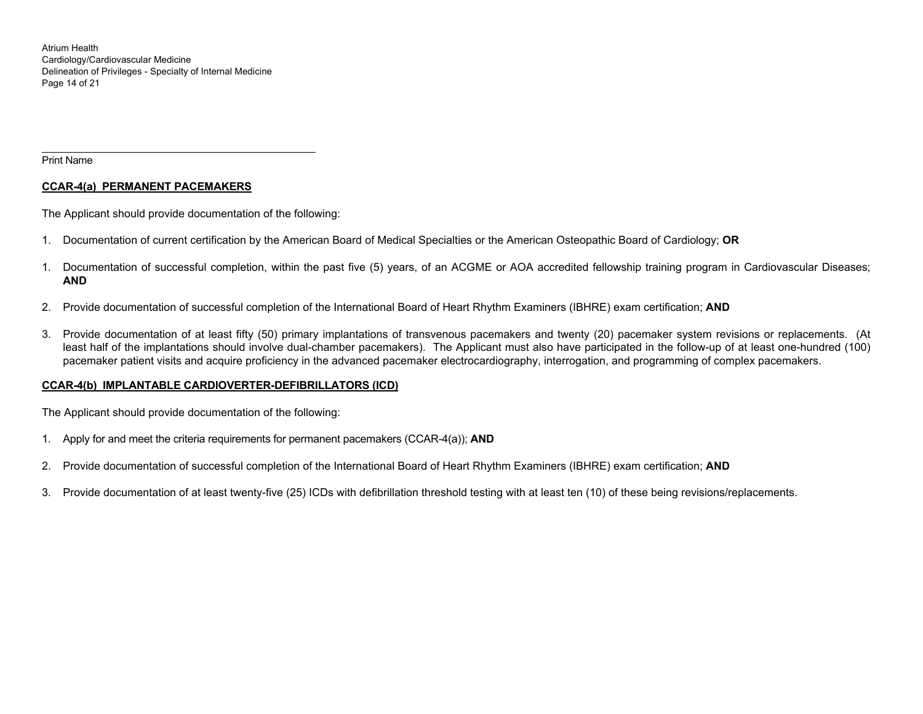Atrium Health Cardiology/Cardiovascular Medicine Delineation of Privileges - Specialty of Internal Medicine Page 14 of 21

Print Name

## **CCAR-4(a) PERMANENT PACEMAKERS**

The Applicant should provide documentation of the following:

- 1. Documentation of current certification by the American Board of Medical Specialties or the American Osteopathic Board of Cardiology; **OR**
- 1. Documentation of successful completion, within the past five (5) years, of an ACGME or AOA accredited fellowship training program in Cardiovascular Diseases; **AND**
- 2. Provide documentation of successful completion of the International Board of Heart Rhythm Examiners (IBHRE) exam certification; **AND**
- 3. Provide documentation of at least fifty (50) primary implantations of transvenous pacemakers and twenty (20) pacemaker system revisions or replacements. (At least half of the implantations should involve dual-chamber pacemakers). The Applicant must also have participated in the follow-up of at least one-hundred (100) pacemaker patient visits and acquire proficiency in the advanced pacemaker electrocardiography, interrogation, and programming of complex pacemakers.

## **CCAR-4(b) IMPLANTABLE CARDIOVERTER-DEFIBRILLATORS (ICD)**

The Applicant should provide documentation of the following:

- 1. Apply for and meet the criteria requirements for permanent pacemakers (CCAR-4(a)); **AND**
- 2. Provide documentation of successful completion of the International Board of Heart Rhythm Examiners (IBHRE) exam certification; **AND**
- 3. Provide documentation of at least twenty-five (25) ICDs with defibrillation threshold testing with at least ten (10) of these being revisions/replacements.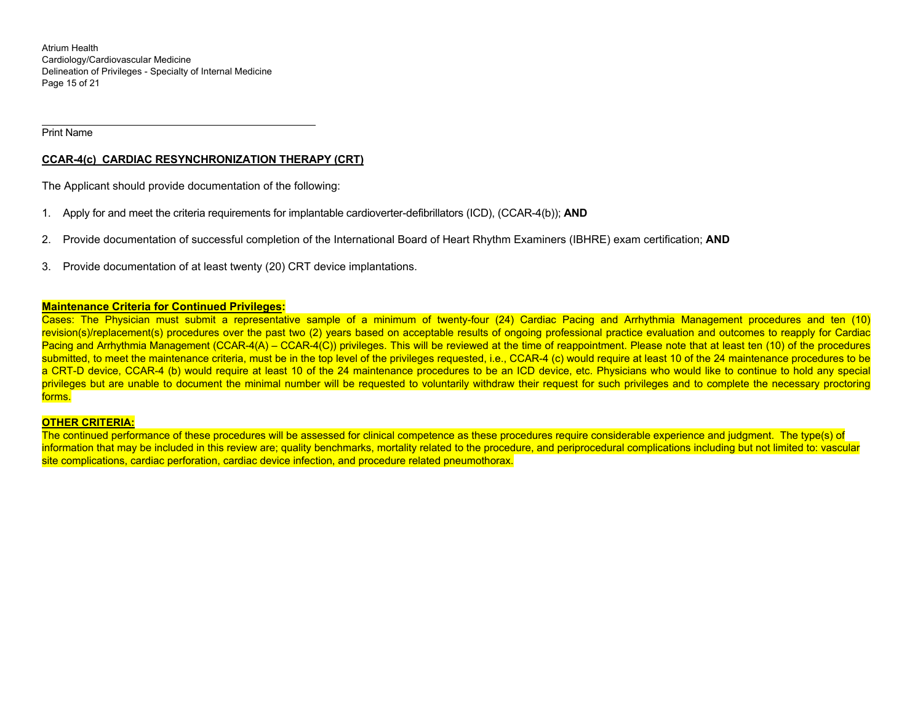Atrium Health Cardiology/Cardiovascular Medicine Delineation of Privileges - Specialty of Internal Medicine Page 15 of 21

Print Name

## **CCAR-4(c) CARDIAC RESYNCHRONIZATION THERAPY (CRT)**

The Applicant should provide documentation of the following:

- 1. Apply for and meet the criteria requirements for implantable cardioverter-defibrillators (ICD), (CCAR-4(b)); **AND**
- 2. Provide documentation of successful completion of the International Board of Heart Rhythm Examiners (IBHRE) exam certification; **AND**
- 3. Provide documentation of at least twenty (20) CRT device implantations.

#### **Maintenance Criteria for Continued Privileges:**

Cases: The Physician must submit a representative sample of a minimum of twenty-four (24) Cardiac Pacing and Arrhythmia Management procedures and ten (10) revision(s)/replacement(s) procedures over the past two (2) years based on acceptable results of ongoing professional practice evaluation and outcomes to reapply for Cardiac Pacing and Arrhythmia Management (CCAR-4(A) – CCAR-4(C)) privileges. This will be reviewed at the time of reappointment. Please note that at least ten (10) of the procedures submitted, to meet the maintenance criteria, must be in the top level of the privileges requested, i.e., CCAR-4 (c) would require at least 10 of the 24 maintenance procedures to be a CRT-D device, CCAR-4 (b) would require at least 10 of the 24 maintenance procedures to be an ICD device, etc. Physicians who would like to continue to hold any special privileges but are unable to document the minimal number will be requested to voluntarily withdraw their request for such privileges and to complete the necessary proctoring forms.

#### **OTHER CRITERIA:**

The continued performance of these procedures will be assessed for clinical competence as these procedures require considerable experience and judgment. The type(s) of information that may be included in this review are; quality benchmarks, mortality related to the procedure, and periprocedural complications including but not limited to: vascular site complications, cardiac perforation, cardiac device infection, and procedure related pneumothorax.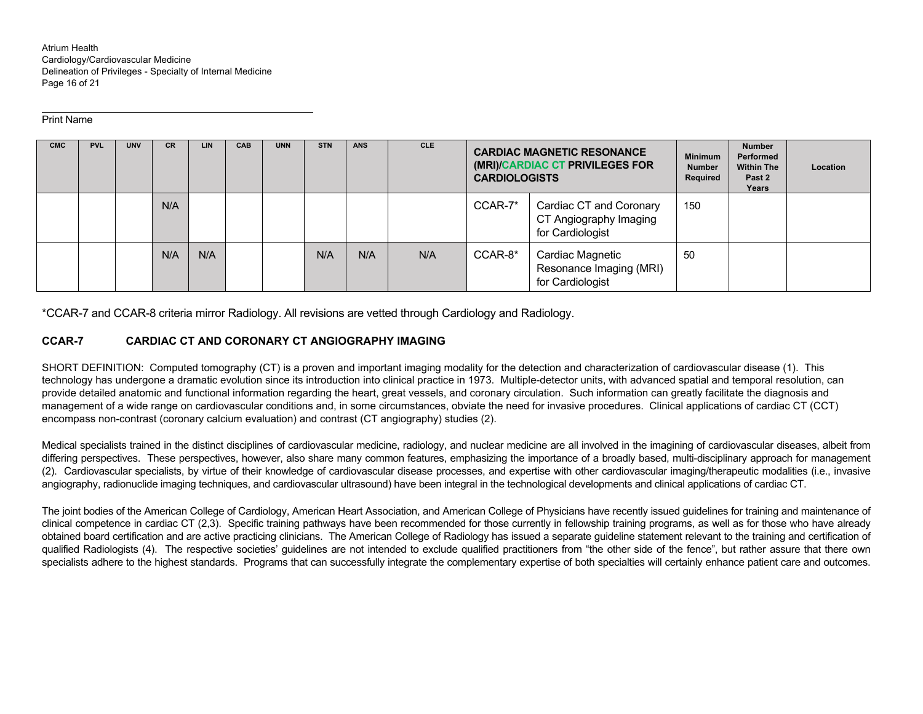Atrium Health Cardiology/Cardiovascular Medicine Delineation of Privileges - Specialty of Internal Medicine Page 16 of 21

#### Print Name

| <b>CMC</b> | <b>PVL</b> | <b>UNV</b> | <b>CR</b> | <b>LIN</b> | CAB | <b>UNN</b> | <b>STN</b> | <b>ANS</b> | <b>CLE</b> | <b>CARDIAC MAGNETIC RESONANCE</b><br>(MRI)/CARDIAC CT PRIVILEGES FOR<br><b>CARDIOLOGISTS</b> |                                                                       | <b>Minimum</b><br><b>Number</b><br>Required | <b>Number</b><br>Performed<br><b>Within The</b><br>Past 2<br>Years | Location |
|------------|------------|------------|-----------|------------|-----|------------|------------|------------|------------|----------------------------------------------------------------------------------------------|-----------------------------------------------------------------------|---------------------------------------------|--------------------------------------------------------------------|----------|
|            |            |            | N/A       |            |     |            |            |            |            | CCAR-7*                                                                                      | Cardiac CT and Coronary<br>CT Angiography Imaging<br>for Cardiologist | 150                                         |                                                                    |          |
|            |            |            | N/A       | N/A        |     |            | N/A        | N/A        | N/A        | CCAR-8*                                                                                      | Cardiac Magnetic<br>Resonance Imaging (MRI)<br>for Cardiologist       | 50                                          |                                                                    |          |

\*CCAR-7 and CCAR-8 criteria mirror Radiology. All revisions are vetted through Cardiology and Radiology.

## **CCAR-7 CARDIAC CT AND CORONARY CT ANGIOGRAPHY IMAGING**

SHORT DEFINITION: Computed tomography (CT) is a proven and important imaging modality for the detection and characterization of cardiovascular disease (1). This technology has undergone a dramatic evolution since its introduction into clinical practice in 1973. Multiple-detector units, with advanced spatial and temporal resolution, can provide detailed anatomic and functional information regarding the heart, great vessels, and coronary circulation. Such information can greatly facilitate the diagnosis and management of a wide range on cardiovascular conditions and, in some circumstances, obviate the need for invasive procedures. Clinical applications of cardiac CT (CCT) encompass non-contrast (coronary calcium evaluation) and contrast (CT angiography) studies (2).

Medical specialists trained in the distinct disciplines of cardiovascular medicine, radiology, and nuclear medicine are all involved in the imagining of cardiovascular diseases, albeit from differing perspectives. These perspectives, however, also share many common features, emphasizing the importance of a broadly based, multi-disciplinary approach for management (2). Cardiovascular specialists, by virtue of their knowledge of cardiovascular disease processes, and expertise with other cardiovascular imaging/therapeutic modalities (i.e., invasive angiography, radionuclide imaging techniques, and cardiovascular ultrasound) have been integral in the technological developments and clinical applications of cardiac CT.

The joint bodies of the American College of Cardiology, American Heart Association, and American College of Physicians have recently issued guidelines for training and maintenance of clinical competence in cardiac CT (2,3). Specific training pathways have been recommended for those currently in fellowship training programs, as well as for those who have already obtained board certification and are active practicing clinicians. The American College of Radiology has issued a separate guideline statement relevant to the training and certification of qualified Radiologists (4). The respective societies' guidelines are not intended to exclude qualified practitioners from "the other side of the fence", but rather assure that there own specialists adhere to the highest standards. Programs that can successfully integrate the complementary expertise of both specialties will certainly enhance patient care and outcomes.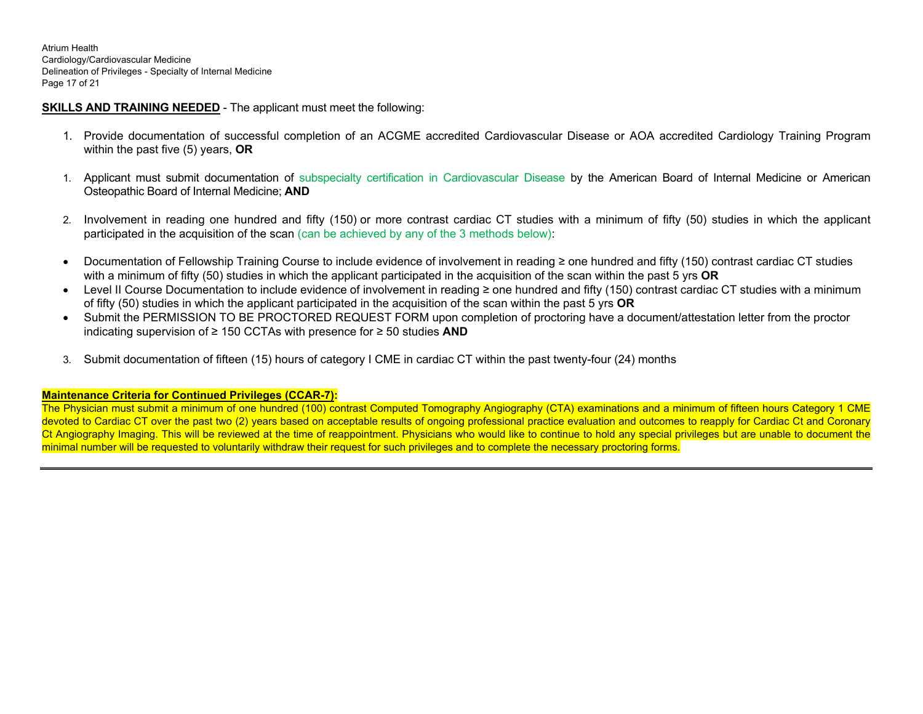Atrium Health Cardiology/Cardiovascular Medicine Delineation of Privileges - Specialty of Internal Medicine Page 17 of 21

# **SKILLS AND TRAINING NEEDED** - The applicant must meet the following:

- 1. Provide documentation of successful completion of an ACGME accredited Cardiovascular Disease or AOA accredited Cardiology Training Program within the past five (5) years, **OR**
- 1. Applicant must submit documentation of subspecialty certification in Cardiovascular Disease by the American Board of Internal Medicine or American Osteopathic Board of Internal Medicine; **AND**
- 2. Involvement in reading one hundred and fifty (150) or more contrast cardiac CT studies with a minimum of fifty (50) studies in which the applicant participated in the acquisition of the scan (can be achieved by any of the 3 methods below):
- Documentation of Fellowship Training Course to include evidence of involvement in reading ≥ one hundred and fifty (150) contrast cardiac CT studies with a minimum of fifty (50) studies in which the applicant participated in the acquisition of the scan within the past 5 yrs **OR**
- Level II Course Documentation to include evidence of involvement in reading ≥ one hundred and fifty (150) contrast cardiac CT studies with a minimum of fifty (50) studies in which the applicant participated in the acquisition of the scan within the past 5 yrs **OR**
- Submit the PERMISSION TO BE PROCTORED REQUEST FORM upon completion of proctoring have a document/attestation letter from the proctor indicating supervision of ≥ 150 CCTAs with presence for ≥ 50 studies **AND**
- 3. Submit documentation of fifteen (15) hours of category I CME in cardiac CT within the past twenty-four (24) months

## **Maintenance Criteria for Continued Privileges (CCAR-7):**

The Physician must submit a minimum of one hundred (100) contrast Computed Tomography Angiography (CTA) examinations and a minimum of fifteen hours Category 1 CME devoted to Cardiac CT over the past two (2) years based on acceptable results of ongoing professional practice evaluation and outcomes to reapply for Cardiac Ct and Coronary Ct Angiography Imaging. This will be reviewed at the time of reappointment. Physicians who would like to continue to hold any special privileges but are unable to document the minimal number will be requested to voluntarily withdraw their request for such privileges and to complete the necessary proctoring forms.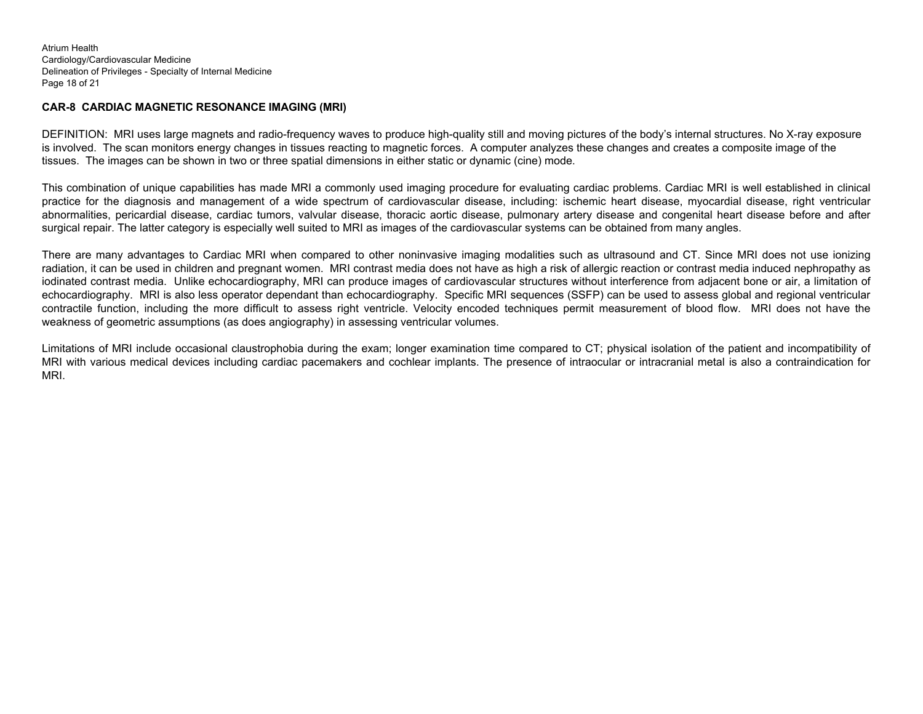Atrium Health Cardiology/Cardiovascular Medicine Delineation of Privileges - Specialty of Internal Medicine Page 18 of 21

## **CAR-8 CARDIAC MAGNETIC RESONANCE IMAGING (MRI)**

DEFINITION: MRI uses large magnets and radio-frequency waves to produce high-quality still and moving pictures of the body's internal structures. No X-ray exposure is involved. The scan monitors energy changes in tissues reacting to magnetic forces. A computer analyzes these changes and creates a composite image of the tissues. The images can be shown in two or three spatial dimensions in either static or dynamic (cine) mode.

This combination of unique capabilities has made MRI a commonly used imaging procedure for evaluating cardiac problems. Cardiac MRI is well established in clinical practice for the diagnosis and management of a wide spectrum of cardiovascular disease, including: ischemic heart disease, myocardial disease, right ventricular abnormalities, pericardial disease, cardiac tumors, valvular disease, thoracic aortic disease, pulmonary artery disease and congenital heart disease before and after surgical repair. The latter category is especially well suited to MRI as images of the cardiovascular systems can be obtained from many angles.

There are many advantages to Cardiac MRI when compared to other noninvasive imaging modalities such as ultrasound and CT. Since MRI does not use ionizing radiation, it can be used in children and pregnant women. MRI contrast media does not have as high a risk of allergic reaction or contrast media induced nephropathy as iodinated contrast media. Unlike echocardiography, MRI can produce images of cardiovascular structures without interference from adjacent bone or air, a limitation of echocardiography. MRI is also less operator dependant than echocardiography. Specific MRI sequences (SSFP) can be used to assess global and regional ventricular contractile function, including the more difficult to assess right ventricle. Velocity encoded techniques permit measurement of blood flow. MRI does not have the weakness of geometric assumptions (as does angiography) in assessing ventricular volumes.

Limitations of MRI include occasional claustrophobia during the exam; longer examination time compared to CT; physical isolation of the patient and incompatibility of MRI with various medical devices including cardiac pacemakers and cochlear implants. The presence of intraocular or intracranial metal is also a contraindication for MRI.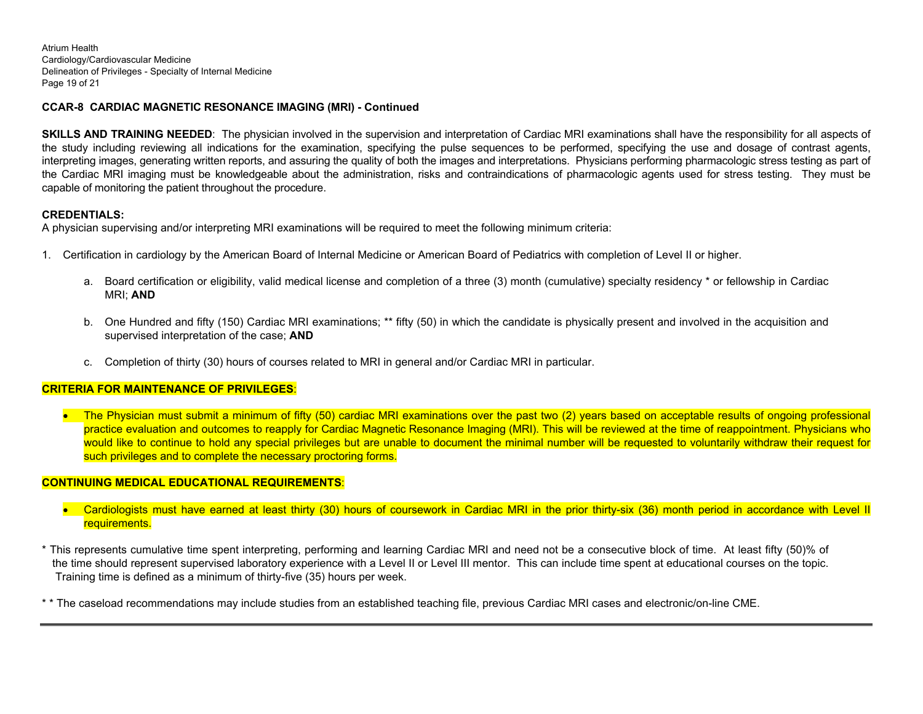Atrium Health Cardiology/Cardiovascular Medicine Delineation of Privileges - Specialty of Internal Medicine Page 19 of 21

## **CCAR-8 CARDIAC MAGNETIC RESONANCE IMAGING (MRI) - Continued**

**SKILLS AND TRAINING NEEDED**: The physician involved in the supervision and interpretation of Cardiac MRI examinations shall have the responsibility for all aspects of the study including reviewing all indications for the examination, specifying the pulse sequences to be performed, specifying the use and dosage of contrast agents, interpreting images, generating written reports, and assuring the quality of both the images and interpretations. Physicians performing pharmacologic stress testing as part of the Cardiac MRI imaging must be knowledgeable about the administration, risks and contraindications of pharmacologic agents used for stress testing. They must be capable of monitoring the patient throughout the procedure.

## **CREDENTIALS:**

A physician supervising and/or interpreting MRI examinations will be required to meet the following minimum criteria:

- 1. Certification in cardiology by the American Board of Internal Medicine or American Board of Pediatrics with completion of Level II or higher.
	- a. Board certification or eligibility, valid medical license and completion of a three (3) month (cumulative) specialty residency \* or fellowship in Cardiac MRI; **AND**
	- b. One Hundred and fifty (150) Cardiac MRI examinations; \*\* fifty (50) in which the candidate is physically present and involved in the acquisition and supervised interpretation of the case; **AND**
	- c. Completion of thirty (30) hours of courses related to MRI in general and/or Cardiac MRI in particular.

## **CRITERIA FOR MAINTENANCE OF PRIVILEGES**:

 The Physician must submit a minimum of fifty (50) cardiac MRI examinations over the past two (2) years based on acceptable results of ongoing professional practice evaluation and outcomes to reapply for Cardiac Magnetic Resonance Imaging (MRI). This will be reviewed at the time of reappointment. Physicians who would like to continue to hold any special privileges but are unable to document the minimal number will be requested to voluntarily withdraw their request for such privileges and to complete the necessary proctoring forms.

## **CONTINUING MEDICAL EDUCATIONAL REQUIREMENTS**:

- Cardiologists must have earned at least thirty (30) hours of coursework in Cardiac MRI in the prior thirty-six (36) month period in accordance with Level II requirements.
- \* This represents cumulative time spent interpreting, performing and learning Cardiac MRI and need not be a consecutive block of time. At least fifty (50)% of the time should represent supervised laboratory experience with a Level II or Level III mentor. This can include time spent at educational courses on the topic. Training time is defined as a minimum of thirty-five (35) hours per week.
- \* \* The caseload recommendations may include studies from an established teaching file, previous Cardiac MRI cases and electronic/on-line CME.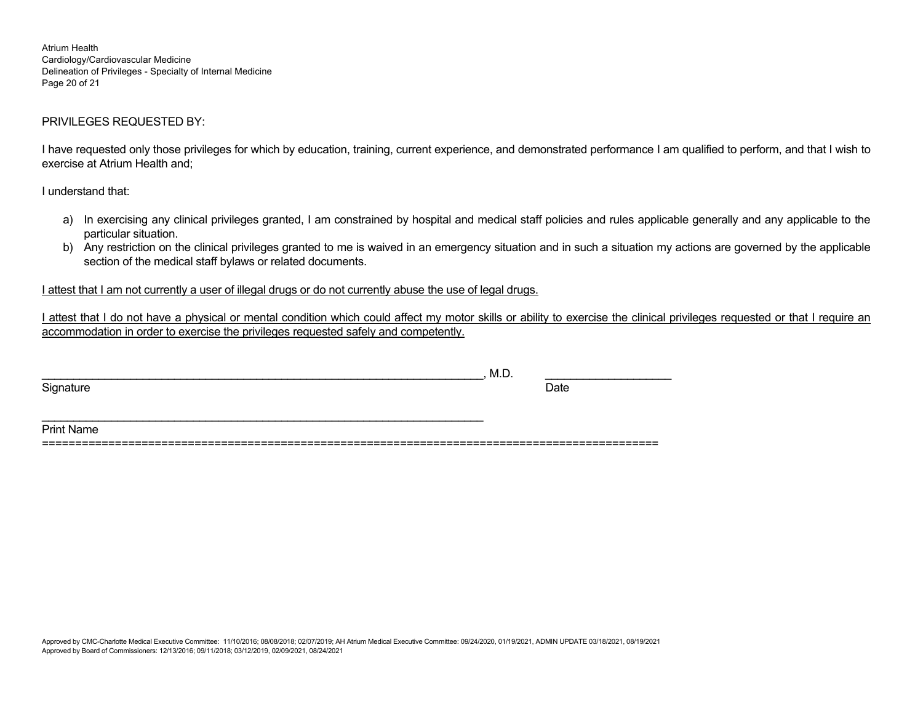Atrium Health Cardiology/Cardiovascular Medicine Delineation of Privileges - Specialty of Internal Medicine Page 20 of 21

## PRIVILEGES REQUESTED BY:

I have requested only those privileges for which by education, training, current experience, and demonstrated performance I am qualified to perform, and that I wish to exercise at Atrium Health and;

I understand that:

- a) In exercising any clinical privileges granted, I am constrained by hospital and medical staff policies and rules applicable generally and any applicable to the particular situation.
- b) Any restriction on the clinical privileges granted to me is waived in an emergency situation and in such a situation my actions are governed by the applicable section of the medical staff bylaws or related documents.

I attest that I am not currently a user of illegal drugs or do not currently abuse the use of legal drugs.

I attest that I do not have a physical or mental condition which could affect my motor skills or ability to exercise the clinical privileges requested or that I require an accommodation in order to exercise the privileges requested safely and competently.

|                | .<br>M.D. |      |
|----------------|-----------|------|
| Signature<br>. |           | Date |

=============================================================================================